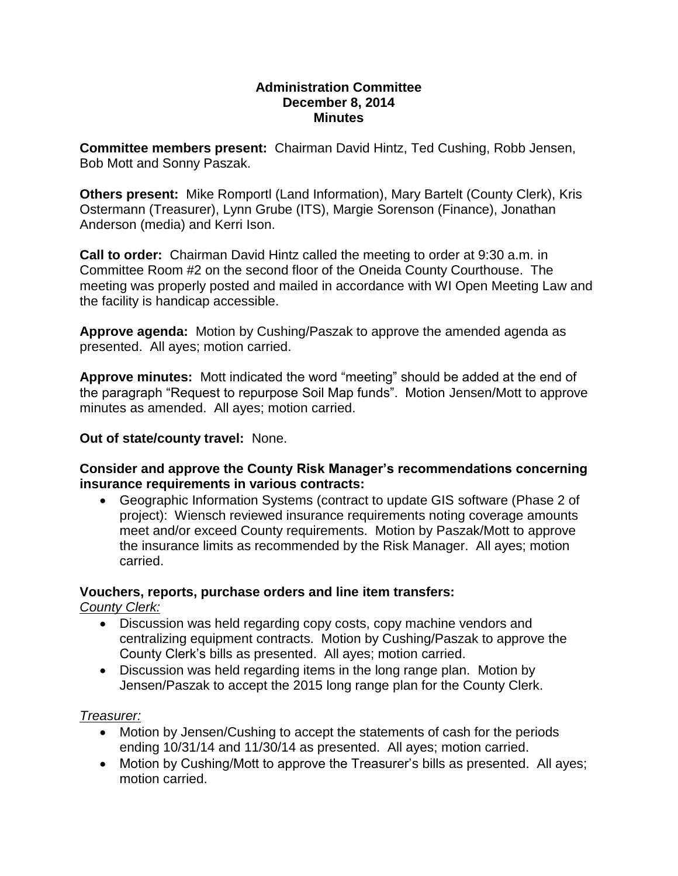### **Administration Committee December 8, 2014 Minutes**

**Committee members present:** Chairman David Hintz, Ted Cushing, Robb Jensen, Bob Mott and Sonny Paszak.

**Others present:** Mike Romportl (Land Information), Mary Bartelt (County Clerk), Kris Ostermann (Treasurer), Lynn Grube (ITS), Margie Sorenson (Finance), Jonathan Anderson (media) and Kerri Ison.

**Call to order:** Chairman David Hintz called the meeting to order at 9:30 a.m. in Committee Room #2 on the second floor of the Oneida County Courthouse. The meeting was properly posted and mailed in accordance with WI Open Meeting Law and the facility is handicap accessible.

**Approve agenda:** Motion by Cushing/Paszak to approve the amended agenda as presented. All ayes; motion carried.

**Approve minutes:** Mott indicated the word "meeting" should be added at the end of the paragraph "Request to repurpose Soil Map funds". Motion Jensen/Mott to approve minutes as amended. All ayes; motion carried.

## **Out of state/county travel:** None.

## **Consider and approve the County Risk Manager's recommendations concerning insurance requirements in various contracts:**

 Geographic Information Systems (contract to update GIS software (Phase 2 of project): Wiensch reviewed insurance requirements noting coverage amounts meet and/or exceed County requirements. Motion by Paszak/Mott to approve the insurance limits as recommended by the Risk Manager. All ayes; motion carried.

## **Vouchers, reports, purchase orders and line item transfers:**

*County Clerk:*

- Discussion was held regarding copy costs, copy machine vendors and centralizing equipment contracts. Motion by Cushing/Paszak to approve the County Clerk's bills as presented. All ayes; motion carried.
- Discussion was held regarding items in the long range plan. Motion by Jensen/Paszak to accept the 2015 long range plan for the County Clerk.

# *Treasurer:*

- Motion by Jensen/Cushing to accept the statements of cash for the periods ending 10/31/14 and 11/30/14 as presented. All ayes; motion carried.
- Motion by Cushing/Mott to approve the Treasurer's bills as presented. All ayes; motion carried.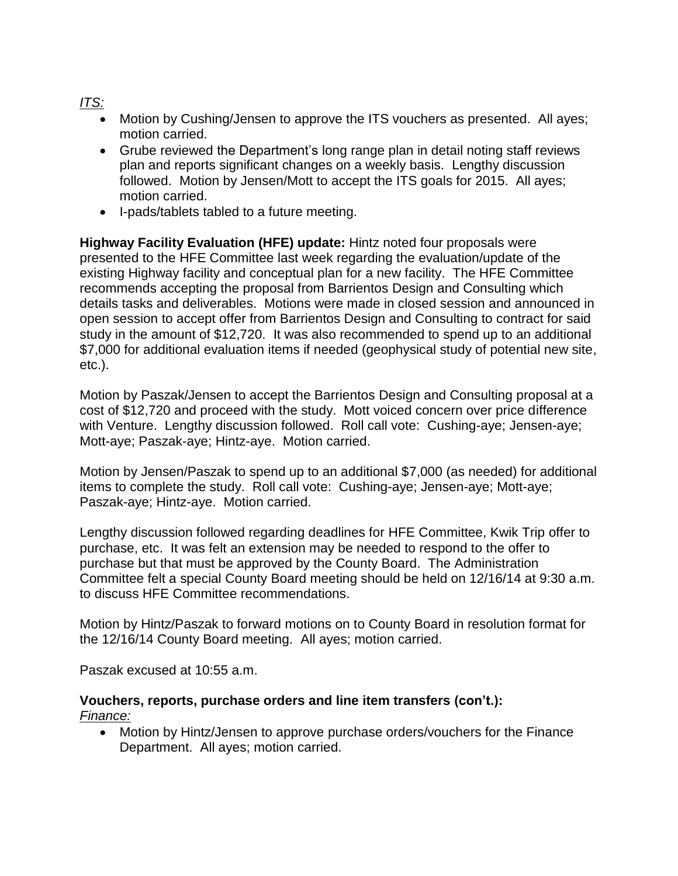# *ITS:*

- Motion by Cushing/Jensen to approve the ITS vouchers as presented. All ayes; motion carried.
- Grube reviewed the Department's long range plan in detail noting staff reviews plan and reports significant changes on a weekly basis. Lengthy discussion followed. Motion by Jensen/Mott to accept the ITS goals for 2015. All ayes; motion carried.
- I-pads/tablets tabled to a future meeting.

**Highway Facility Evaluation (HFE) update:** Hintz noted four proposals were presented to the HFE Committee last week regarding the evaluation/update of the existing Highway facility and conceptual plan for a new facility. The HFE Committee recommends accepting the proposal from Barrientos Design and Consulting which details tasks and deliverables. Motions were made in closed session and announced in open session to accept offer from Barrientos Design and Consulting to contract for said study in the amount of \$12,720. It was also recommended to spend up to an additional \$7,000 for additional evaluation items if needed (geophysical study of potential new site, etc.).

Motion by Paszak/Jensen to accept the Barrientos Design and Consulting proposal at a cost of \$12,720 and proceed with the study. Mott voiced concern over price difference with Venture. Lengthy discussion followed. Roll call vote: Cushing-aye; Jensen-aye; Mott-aye; Paszak-aye; Hintz-aye. Motion carried.

Motion by Jensen/Paszak to spend up to an additional \$7,000 (as needed) for additional items to complete the study. Roll call vote: Cushing-aye; Jensen-aye; Mott-aye; Paszak-aye; Hintz-aye. Motion carried.

Lengthy discussion followed regarding deadlines for HFE Committee, Kwik Trip offer to purchase, etc. It was felt an extension may be needed to respond to the offer to purchase but that must be approved by the County Board. The Administration Committee felt a special County Board meeting should be held on 12/16/14 at 9:30 a.m. to discuss HFE Committee recommendations.

Motion by Hintz/Paszak to forward motions on to County Board in resolution format for the 12/16/14 County Board meeting. All ayes; motion carried.

Paszak excused at 10:55 a.m.

**Vouchers, reports, purchase orders and line item transfers (con't.):** *Finance:*

 Motion by Hintz/Jensen to approve purchase orders/vouchers for the Finance Department. All ayes; motion carried.